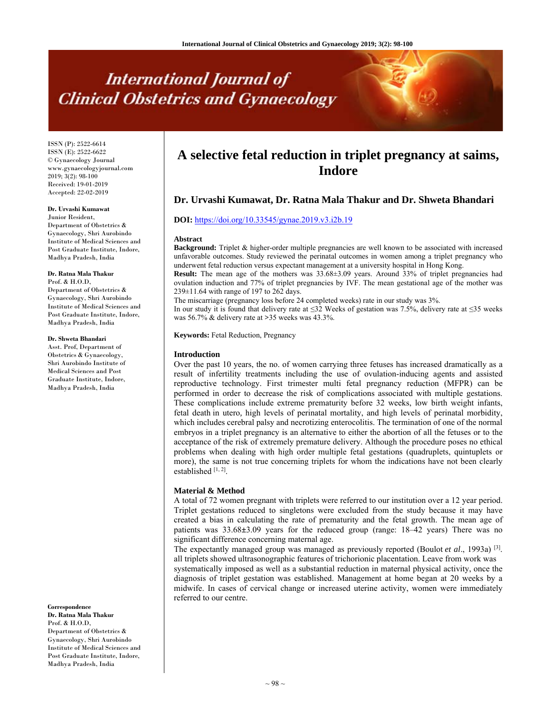# **International Journal of Clinical Obstetrics and Gynaecology**

ISSN (P): 2522-6614 ISSN (E): 2522-6622 © Gynaecology Journal www.gynaecologyjournal.com 2019; 3(2): 98-100 Received: 19-01-2019 Accepted: 22-02-2019

**Dr. Urvashi Kumawat** Junior Resident,

Department of Obstetrics & Gynaecology, Shri Aurobindo Institute of Medical Sciences and Post Graduate Institute, Indore, Madhya Pradesh, India

#### **Dr. Ratna Mala Thakur**

Prof. & H.O.D, Department of Obstetrics & Gynaecology, Shri Aurobindo Institute of Medical Sciences and Post Graduate Institute, Indore, Madhya Pradesh, India

#### **Dr. Shweta Bhandari**

Asst. Prof, Department of Obstetrics & Gynaecology, Shri Aurobindo Institute of Medical Sciences and Post Graduate Institute, Indore, Madhya Pradesh, India

**Correspondence Dr. Ratna Mala Thakur** Prof. & H.O.D,

Department of Obstetrics & Gynaecology, Shri Aurobindo Institute of Medical Sciences and Post Graduate Institute, Indore, Madhya Pradesh, India

## **A selective fetal reduction in triplet pregnancy at saims, Indore**

### **Dr. Urvashi Kumawat, Dr. Ratna Mala Thakur and Dr. Shweta Bhandari**

#### **DOI:** https://doi.org/10.33545/gynae.2019.v3.i2b.19

#### **Abstract**

**Background:** Triplet & higher-order multiple pregnancies are well known to be associated with increased unfavorable outcomes. Study reviewed the perinatal outcomes in women among a triplet pregnancy who underwent fetal reduction versus expectant management at a university hospital in Hong Kong.

**Result:** The mean age of the mothers was 33.68±3.09 years. Around 33% of triplet pregnancies had ovulation induction and 77% of triplet pregnancies by IVF. The mean gestational age of the mother was 239±11.64 with range of 197 to 262 days.

The miscarriage (pregnancy loss before 24 completed weeks) rate in our study was 3%.

In our study it is found that delivery rate at ≤32 Weeks of gestation was 7.5%, delivery rate at ≤35 weeks was 56.7% & delivery rate at **>**35 weeks was 43.3%.

**Keywords:** Fetal Reduction, Pregnancy

#### **Introduction**

Over the past 10 years, the no. of women carrying three fetuses has increased dramatically as a result of infertility treatments including the use of ovulation-inducing agents and assisted reproductive technology. First trimester multi fetal pregnancy reduction (MFPR) can be performed in order to decrease the risk of complications associated with multiple gestations. These complications include extreme prematurity before 32 weeks, low birth weight infants, fetal death in utero*,* high levels of perinatal mortality, and high levels of perinatal morbidity, which includes cerebral palsy and necrotizing enterocolitis. The termination of one of the normal embryos in a triplet pregnancy is an alternative to either the abortion of all the fetuses or to the acceptance of the risk of extremely premature delivery. Although the procedure poses no ethical problems when dealing with high order multiple fetal gestations (quadruplets, quintuplets or more), the same is not true concerning triplets for whom the indications have not been clearly established  $[1, 2]$ .

#### **Material & Method**

A total of 72 women pregnant with triplets were referred to our institution over a 12 year period. Triplet gestations reduced to singletons were excluded from the study because it may have created a bias in calculating the rate of prematurity and the fetal growth. The mean age of patients was 33.68**±**3.09 years for the reduced group (range: 18–42 years) There was no significant difference concerning maternal age.

The expectantly managed group was managed as previously reported (Boulot et al., 1993a)<sup>[3]</sup>. all triplets showed ultrasonographic features of trichorionic placentation. Leave from work was

systematically imposed as well as a substantial reduction in maternal physical activity, once the diagnosis of triplet gestation was established. Management at home began at 20 weeks by a midwife. In cases of cervical change or increased uterine activity, women were immediately referred to our centre.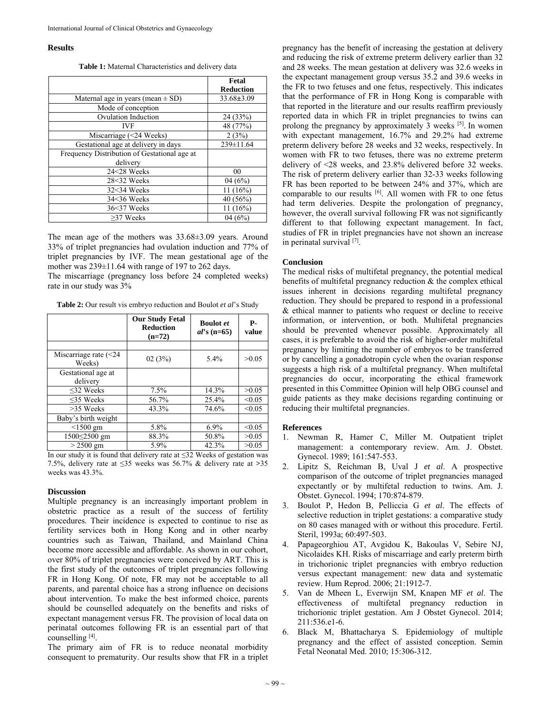#### **Results**

**Table 1:** Maternal Characteristics and delivery data

|                                              | Fetal            |
|----------------------------------------------|------------------|
|                                              | <b>Reduction</b> |
| Maternal age in years (mean $\pm$ SD)        | $33.68 \pm 3.09$ |
| Mode of conception                           |                  |
| <b>Ovulation Induction</b>                   | 24 (33%)         |
| <b>IVF</b>                                   | 48 (77%)         |
| Miscarriage (<24 Weeks)                      | 2(3%)            |
| Gestational age at delivery in days          | 239±11.64        |
| Frequency Distribution of Gestational age at |                  |
| delivery                                     |                  |
| 24<28 Weeks                                  | 00               |
| 28<32 Weeks                                  | 04(6%)           |
| $32<34$ Weeks                                | $11(16\%)$       |
| $34<36$ Weeks                                | 40 (56%)         |
| 36<37 Weeks                                  | $11(16\%)$       |
| $>37$ Weeks                                  | 04(6%)           |

The mean age of the mothers was 33.68±3.09 years. Around 33% of triplet pregnancies had ovulation induction and 77% of triplet pregnancies by IVF. The mean gestational age of the mother was  $239\pm11.64$  with range of 197 to 262 days.

The miscarriage (pregnancy loss before 24 completed weeks) rate in our study was 3%

**Table 2:** Our result vis embryo reduction and Boulot *et al*'s Study

|                                    | <b>Our Study Fetal</b><br><b>Reduction</b><br>$(n=72)$ | <b>Boulot</b> et<br>$al$ 's (n=65) | Р-<br>value |
|------------------------------------|--------------------------------------------------------|------------------------------------|-------------|
|                                    |                                                        |                                    |             |
| Miscarriage rate $(< 24$<br>Weeks) | 02(3%)                                                 | 5.4%                               | >0.05       |
| Gestational age at<br>delivery     |                                                        |                                    |             |
| <32 Weeks                          | 7.5%                                                   | 14.3%                              | >0.05       |
| $<$ 35 Weeks                       | 56.7%                                                  | $25.4\%$                           | < 0.05      |
| $>35$ Weeks                        | 43.3%                                                  | 74.6%                              | < 0.05      |
| Baby's birth weight                |                                                        |                                    |             |
| $< 1500$ gm                        | 5.8%                                                   | 6.9%                               | < 0.05      |
| 1500 52500 gm                      | 88.3%                                                  | 50.8%                              | >0.05       |
| $> 2500$ gm                        | 5.9%                                                   | 42.3%                              | >0.05       |

In our study it is found that delivery rate at ≤32 Weeks of gestation was 7.5%, delivery rate at ≤35 weeks was 56.7% & delivery rate at **>**35 weeks was 43.3%.

#### **Discussion**

Multiple pregnancy is an increasingly important problem in obstetric practice as a result of the success of fertility procedures. Their incidence is expected to continue to rise as fertility services both in Hong Kong and in other nearby countries such as Taiwan, Thailand, and Mainland China become more accessible and affordable. As shown in our cohort, over 80% of triplet pregnancies were conceived by ART. This is the first study of the outcomes of triplet pregnancies following FR in Hong Kong. Of note, FR may not be acceptable to all parents, and parental choice has a strong influence on decisions about intervention. To make the best informed choice, parents should be counselled adequately on the benefits and risks of expectant management versus FR. The provision of local data on perinatal outcomes following FR is an essential part of that counselling [4].

The primary aim of FR is to reduce neonatal morbidity consequent to prematurity. Our results show that FR in a triplet

pregnancy has the benefit of increasing the gestation at delivery and reducing the risk of extreme preterm delivery earlier than 32 and 28 weeks. The mean gestation at delivery was 32.6 weeks in the expectant management group versus 35.2 and 39.6 weeks in the FR to two fetuses and one fetus, respectively. This indicates that the performance of FR in Hong Kong is comparable with that reported in the literature and our results reaffirm previously reported data in which FR in triplet pregnancies to twins can prolong the pregnancy by approximately 3 weeks [5]. In women with expectant management, 16.7% and 29.2% had extreme preterm delivery before 28 weeks and 32 weeks, respectively. In women with FR to two fetuses, there was no extreme preterm delivery of <28 weeks, and 23.8% delivered before 32 weeks. The risk of preterm delivery earlier than 32-33 weeks following FR has been reported to be between 24% and 37%, which are comparable to our results <sup>[6]</sup>. All women with FR to one fetus had term deliveries. Despite the prolongation of pregnancy, however, the overall survival following FR was not significantly different to that following expectant management. In fact, studies of FR in triplet pregnancies have not shown an increase in perinatal survival [7].

#### **Conclusion**

The medical risks of multifetal pregnancy, the potential medical benefits of multifetal pregnancy reduction & the complex ethical issues inherent in decisions regarding multifetal pregnancy reduction. They should be prepared to respond in a professional & ethical manner to patients who request or decline to receive information, or intervention, or both. Multifetal pregnancies should be prevented whenever possible. Approximately all cases, it is preferable to avoid the risk of higher-order multifetal pregnancy by limiting the number of embryos to be transferred or by cancelling a gonadotropin cycle when the ovarian response suggests a high risk of a multifetal pregnancy. When multifetal pregnancies do occur, incorporating the ethical framework presented in this Committee Opinion will help OBG counsel and guide patients as they make decisions regarding continuing or reducing their multifetal pregnancies.

#### **References**

- 1. Newman R, Hamer C, Miller M. Outpatient triplet management: a contemporary review. Am. J. Obstet. Gynecol. 1989; 161:547-553.
- 2. Lipitz S, Reichman B, Uval J *et al*. A prospective comparison of the outcome of triplet pregnancies managed expectantly or by multifetal reduction to twins. Am. J. Obstet. Gynecol. 1994; 170:874-879.
- 3. Boulot P, Hedon B, Pelliccia G *et al*. The effects of selective reduction in triplet gestations: a comparative study on 80 cases managed with or without this procedure. Fertil. Steril, 1993a; 60:497-503.
- 4. Papageorghiou AT, Avgidou K, Bakoulas V, Sebire NJ, Nicolaides KH. Risks of miscarriage and early preterm birth in trichorionic triplet pregnancies with embryo reduction versus expectant management: new data and systematic review. Hum Reprod. 2006; 21:1912-7.
- 5. Van de Mheen L, Everwijn SM, Knapen MF *et al*. The effectiveness of multifetal pregnancy reduction in trichorionic triplet gestation. Am J Obstet Gynecol. 2014; 211:536.e1-6.
- 6. Black M, Bhattacharya S. Epidemiology of multiple pregnancy and the effect of assisted conception. Semin Fetal Neonatal Med. 2010; 15:306-312.